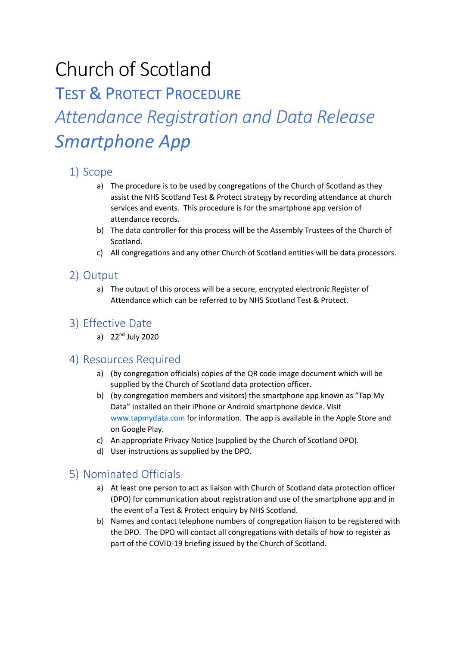# Church of Scotland

**TEST & PROTECT PROCEDURE** *Attendance Registration and Data Release Smartphone App*

# 1) Scope

- a) The procedure is to be used by congregations of the Church of Scotland as they assist the NHS Scotland Test & Protect strategy by recording attendance at church services and events. This procedure is for the smartphone app version of attendance records.
- b) The data controller for this process will be the Assembly Trustees of the Church of Scotland.
- c) All congregations and any other Church of Scotland entities will be data processors.

#### 2) Output

a) The output of this process will be a secure, encrypted electronic Register of Attendance which can be referred to by NHS Scotland Test & Protect.

## 3) Effective Date

a)  $22<sup>nd</sup>$  July 2020

#### 4) Resources Required

- a) (by congregation officials) copies of the QR code image document which will be supplied by the Church of Scotland data protection officer.
- b) (by congregation members and visitors) the smartphone app known as "Tap My Data" installed on their iPhone or Android smartphone device. Visit www.tapmydata.com for information. The app is available in the Apple Store and on Google Play.
- c) An appropriate Privacy Notice (supplied by the Church of Scotland DPO).
- d) User instructions as supplied by the DPO.

# 5) Nominated Officials

- a) At least one person to act as liaison with Church of Scotland data protection officer (DPO) for communication about registration and use of the smartphone app and in the event of a Test & Protect enquiry by NHS Scotland.
- b) Names and contact telephone numbers of congregation liaison to be registered with the DPO. The DPO will contact all congregations with details of how to register as part of the COVID-19 briefing issued by the Church of Scotland.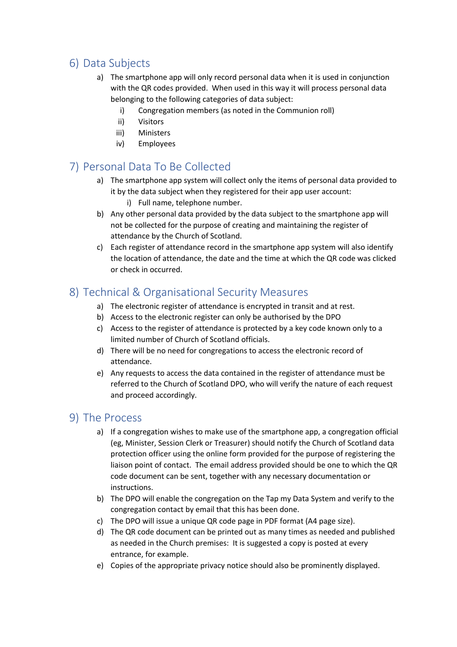# 6) Data Subjects

- a) The smartphone app will only record personal data when it is used in conjunction with the QR codes provided. When used in this way it will process personal data belonging to the following categories of data subject:
	- i) Congregation members (as noted in the Communion roll)
	- ii) Visitors
	- iii) Ministers
	- iv) Employees

# 7) Personal Data To Be Collected

- a) The smartphone app system will collect only the items of personal data provided to it by the data subject when they registered for their app user account:
	- i) Full name, telephone number.
- b) Any other personal data provided by the data subject to the smartphone app will not be collected for the purpose of creating and maintaining the register of attendance by the Church of Scotland.
- c) Each register of attendance record in the smartphone app system will also identify the location of attendance, the date and the time at which the QR code was clicked or check in occurred.

#### 8) Technical & Organisational Security Measures

- a) The electronic register of attendance is encrypted in transit and at rest.
- b) Access to the electronic register can only be authorised by the DPO
- c) Access to the register of attendance is protected by a key code known only to a limited number of Church of Scotland officials.
- d) There will be no need for congregations to access the electronic record of attendance.
- e) Any requests to access the data contained in the register of attendance must be referred to the Church of Scotland DPO, who will verify the nature of each request and proceed accordingly.

#### 9) The Process

- a) If a congregation wishes to make use of the smartphone app, a congregation official (eg, Minister, Session Clerk or Treasurer) should notify the Church of Scotland data protection officer using the online form provided for the purpose of registering the liaison point of contact. The email address provided should be one to which the QR code document can be sent, together with any necessary documentation or instructions.
- b) The DPO will enable the congregation on the Tap my Data System and verify to the congregation contact by email that this has been done.
- c) The DPO will issue a unique QR code page in PDF format (A4 page size).
- d) The QR code document can be printed out as many times as needed and published as needed in the Church premises: It is suggested a copy is posted at every entrance, for example.
- e) Copies of the appropriate privacy notice should also be prominently displayed.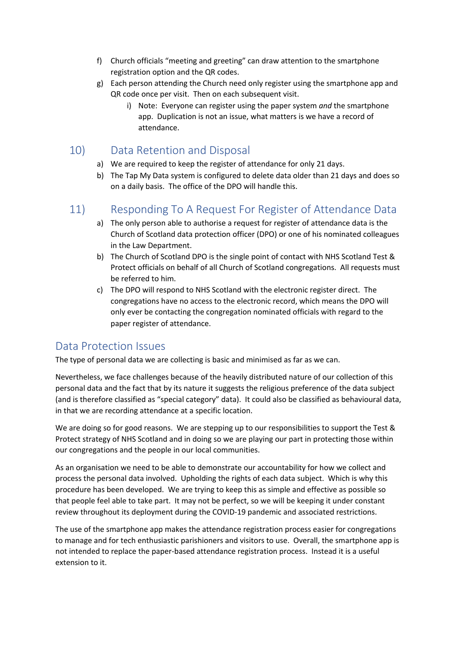- f) Church officials "meeting and greeting" can draw attention to the smartphone registration option and the QR codes.
- g) Each person attending the Church need only register using the smartphone app and QR code once per visit. Then on each subsequent visit.
	- i) Note: Everyone can register using the paper system *and* the smartphone app. Duplication is not an issue, what matters is we have a record of attendance.

### 10) Data Retention and Disposal

- a) We are required to keep the register of attendance for only 21 days.
- b) The Tap My Data system is configured to delete data older than 21 days and does so on a daily basis. The office of the DPO will handle this.

# 11) Responding To A Request For Register of Attendance Data

- a) The only person able to authorise a request for register of attendance data is the Church of Scotland data protection officer (DPO) or one of his nominated colleagues in the Law Department.
- b) The Church of Scotland DPO is the single point of contact with NHS Scotland Test & Protect officials on behalf of all Church of Scotland congregations. All requests must be referred to him.
- c) The DPO will respond to NHS Scotland with the electronic register direct. The congregations have no access to the electronic record, which means the DPO will only ever be contacting the congregation nominated officials with regard to the paper register of attendance.

#### Data Protection Issues

The type of personal data we are collecting is basic and minimised as far as we can.

Nevertheless, we face challenges because of the heavily distributed nature of our collection of this personal data and the fact that by its nature it suggests the religious preference of the data subject (and is therefore classified as "special category" data). It could also be classified as behavioural data, in that we are recording attendance at a specific location.

We are doing so for good reasons. We are stepping up to our responsibilities to support the Test & Protect strategy of NHS Scotland and in doing so we are playing our part in protecting those within our congregations and the people in our local communities.

As an organisation we need to be able to demonstrate our accountability for how we collect and process the personal data involved. Upholding the rights of each data subject. Which is why this procedure has been developed. We are trying to keep this as simple and effective as possible so that people feel able to take part. It may not be perfect, so we will be keeping it under constant review throughout its deployment during the COVID-19 pandemic and associated restrictions.

The use of the smartphone app makes the attendance registration process easier for congregations to manage and for tech enthusiastic parishioners and visitors to use. Overall, the smartphone app is not intended to replace the paper-based attendance registration process. Instead it is a useful extension to it.